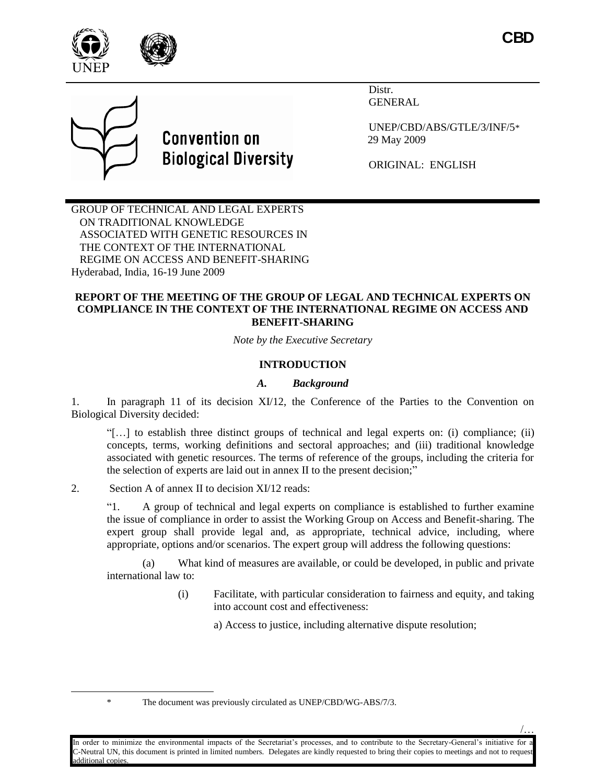

/…





Distr. **GENERAL** 

UNEP/CBD/ABS/GTLE/3/INF/5\* 29 May 2009

ORIGINAL: ENGLISH

GROUP OF TECHNICAL AND LEGAL EXPERTS ON TRADITIONAL KNOWLEDGE ASSOCIATED WITH GENETIC RESOURCES IN THE CONTEXT OF THE INTERNATIONAL REGIME ON ACCESS AND BENEFIT-SHARING Hyderabad, India, 16-19 June 2009

#### **REPORT OF THE MEETING OF THE GROUP OF LEGAL AND TECHNICAL EXPERTS ON COMPLIANCE IN THE CONTEXT OF THE INTERNATIONAL REGIME ON ACCESS AND BENEFIT-SHARING**

*Note by the Executive Secretary*

# **INTRODUCTION**

### *A. Background*

1. In paragraph 11 of its decision XI/12, the Conference of the Parties to the Convention on Biological Diversity decided:

"[…] to establish three distinct groups of technical and legal experts on: (i) compliance; (ii) concepts, terms, working definitions and sectoral approaches; and (iii) traditional knowledge associated with genetic resources. The terms of reference of the groups, including the criteria for the selection of experts are laid out in annex II to the present decision;"

2. Section A of annex II to decision XI/12 reads:

"1. A group of technical and legal experts on compliance is established to further examine the issue of compliance in order to assist the Working Group on Access and Benefit-sharing. The expert group shall provide legal and, as appropriate, technical advice, including, where appropriate, options and/or scenarios. The expert group will address the following questions:

(a) What kind of measures are available, or could be developed, in public and private international law to:

> (i) Facilitate, with particular consideration to fairness and equity, and taking into account cost and effectiveness:

> > a) Access to justice, including alternative dispute resolution;

 $\overline{a}$ 

<sup>\*</sup> The document was previously circulated as UNEP/CBD/WG-ABS/7/3.

In order to minimize the environmental impacts of the Secretariat's processes, and to contribute to the Secretary-General's initiative for a -Neutral UN, this document is printed in limited numbers. Delegates are kindly requested to bring their copies to meetings and not to reques additional copies.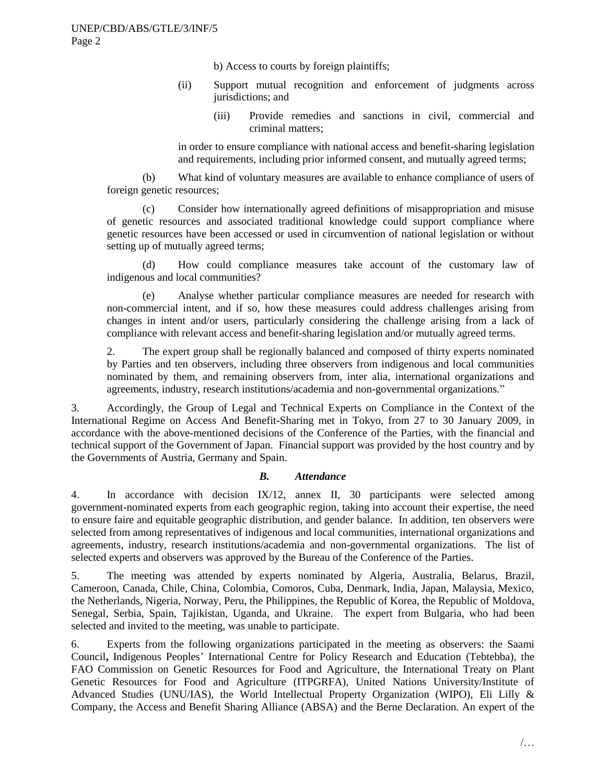b) Access to courts by foreign plaintiffs;

- (ii) Support mutual recognition and enforcement of judgments across jurisdictions; and
	- (iii) Provide remedies and sanctions in civil, commercial and criminal matters;

in order to ensure compliance with national access and benefit-sharing legislation and requirements, including prior informed consent, and mutually agreed terms;

(b) What kind of voluntary measures are available to enhance compliance of users of foreign genetic resources;

(c) Consider how internationally agreed definitions of misappropriation and misuse of genetic resources and associated traditional knowledge could support compliance where genetic resources have been accessed or used in circumvention of national legislation or without setting up of mutually agreed terms;

(d) How could compliance measures take account of the customary law of indigenous and local communities?

(e) Analyse whether particular compliance measures are needed for research with non-commercial intent, and if so, how these measures could address challenges arising from changes in intent and/or users, particularly considering the challenge arising from a lack of compliance with relevant access and benefit-sharing legislation and/or mutually agreed terms.

2. The expert group shall be regionally balanced and composed of thirty experts nominated by Parties and ten observers, including three observers from indigenous and local communities nominated by them, and remaining observers from, inter alia, international organizations and agreements, industry, research institutions/academia and non-governmental organizations."

3. Accordingly, the Group of Legal and Technical Experts on Compliance in the Context of the International Regime on Access And Benefit-Sharing met in Tokyo, from 27 to 30 January 2009, in accordance with the above-mentioned decisions of the Conference of the Parties, with the financial and technical support of the Government of Japan. Financial support was provided by the host country and by the Governments of Austria, Germany and Spain.

### *B. Attendance*

4. In accordance with decision IX/12, annex II, 30 participants were selected among government-nominated experts from each geographic region, taking into account their expertise, the need to ensure faire and equitable geographic distribution, and gender balance. In addition, ten observers were selected from among representatives of indigenous and local communities, international organizations and agreements, industry, research institutions/academia and non-governmental organizations. The list of selected experts and observers was approved by the Bureau of the Conference of the Parties.

5. The meeting was attended by experts nominated by Algeria, Australia, Belarus, Brazil, Cameroon, Canada, Chile, China, Colombia, Comoros, Cuba, Denmark, India, Japan, Malaysia, Mexico, the Netherlands, Nigeria, Norway, Peru, the Philippines, the Republic of Korea, the Republic of Moldova, Senegal, Serbia, Spain, Tajikistan, Uganda, and Ukraine. The expert from Bulgaria, who had been selected and invited to the meeting, was unable to participate.

6. Experts from the following organizations participated in the meeting as observers: the Saami Council**,** Indigenous Peoples" International Centre for Policy Research and Education (Tebtebba), the FAO Commission on Genetic Resources for Food and Agriculture, the International Treaty on Plant Genetic Resources for Food and Agriculture (ITPGRFA), United Nations University/Institute of Advanced Studies (UNU/IAS), the World Intellectual Property Organization (WIPO), Eli Lilly & Company, the Access and Benefit Sharing Alliance (ABSA) and the Berne Declaration. An expert of the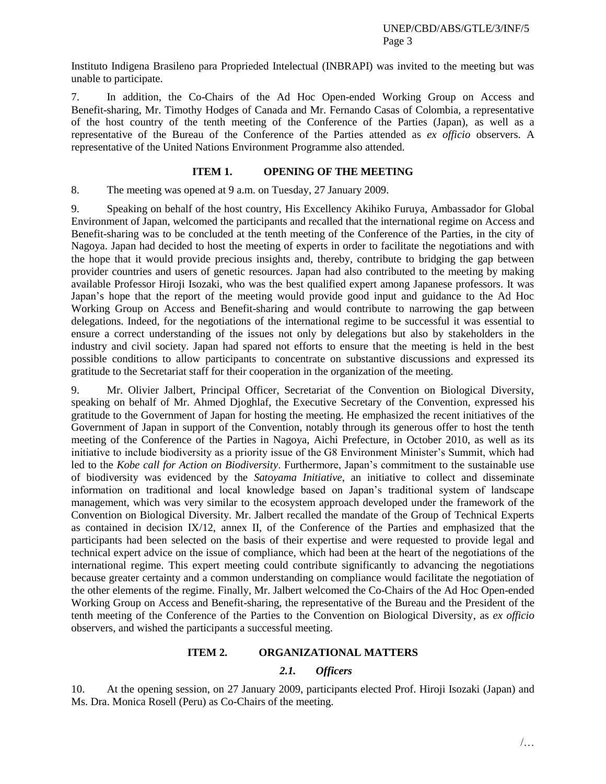Instituto Indigena Brasileno para Proprieded Intelectual (INBRAPI) was invited to the meeting but was unable to participate.

7. In addition, the Co-Chairs of the Ad Hoc Open-ended Working Group on Access and Benefit-sharing, Mr. Timothy Hodges of Canada and Mr. Fernando Casas of Colombia, a representative of the host country of the tenth meeting of the Conference of the Parties (Japan), as well as a representative of the Bureau of the Conference of the Parties attended as *ex officio* observers. A representative of the United Nations Environment Programme also attended.

#### **ITEM 1. OPENING OF THE MEETING**

8. The meeting was opened at 9 a.m. on Tuesday, 27 January 2009.

9. Speaking on behalf of the host country, His Excellency Akihiko Furuya, Ambassador for Global Environment of Japan, welcomed the participants and recalled that the international regime on Access and Benefit-sharing was to be concluded at the tenth meeting of the Conference of the Parties, in the city of Nagoya. Japan had decided to host the meeting of experts in order to facilitate the negotiations and with the hope that it would provide precious insights and, thereby, contribute to bridging the gap between provider countries and users of genetic resources. Japan had also contributed to the meeting by making available Professor Hiroji Isozaki, who was the best qualified expert among Japanese professors. It was Japan"s hope that the report of the meeting would provide good input and guidance to the Ad Hoc Working Group on Access and Benefit-sharing and would contribute to narrowing the gap between delegations. Indeed, for the negotiations of the international regime to be successful it was essential to ensure a correct understanding of the issues not only by delegations but also by stakeholders in the industry and civil society. Japan had spared not efforts to ensure that the meeting is held in the best possible conditions to allow participants to concentrate on substantive discussions and expressed its gratitude to the Secretariat staff for their cooperation in the organization of the meeting.

9. Mr. Olivier Jalbert, Principal Officer, Secretariat of the Convention on Biological Diversity, speaking on behalf of Mr. Ahmed Djoghlaf, the Executive Secretary of the Convention, expressed his gratitude to the Government of Japan for hosting the meeting. He emphasized the recent initiatives of the Government of Japan in support of the Convention, notably through its generous offer to host the tenth meeting of the Conference of the Parties in Nagoya, Aichi Prefecture, in October 2010, as well as its initiative to include biodiversity as a priority issue of the G8 Environment Minister's Summit, which had led to the *Kobe call for Action on Biodiversity*. Furthermore, Japan"s commitment to the sustainable use of biodiversity was evidenced by the *Satoyama Initiative*, an initiative to collect and disseminate information on traditional and local knowledge based on Japan"s traditional system of landscape management, which was very similar to the ecosystem approach developed under the framework of the Convention on Biological Diversity. Mr. Jalbert recalled the mandate of the Group of Technical Experts as contained in decision IX/12, annex II, of the Conference of the Parties and emphasized that the participants had been selected on the basis of their expertise and were requested to provide legal and technical expert advice on the issue of compliance, which had been at the heart of the negotiations of the international regime. This expert meeting could contribute significantly to advancing the negotiations because greater certainty and a common understanding on compliance would facilitate the negotiation of the other elements of the regime. Finally, Mr. Jalbert welcomed the Co-Chairs of the Ad Hoc Open-ended Working Group on Access and Benefit-sharing, the representative of the Bureau and the President of the tenth meeting of the Conference of the Parties to the Convention on Biological Diversity, as *ex officio* observers, and wished the participants a successful meeting.

#### **ITEM 2. ORGANIZATIONAL MATTERS**

### *2.1. Officers*

10. At the opening session, on 27 January 2009, participants elected Prof. Hiroji Isozaki (Japan) and Ms. Dra. Monica Rosell (Peru) as Co-Chairs of the meeting.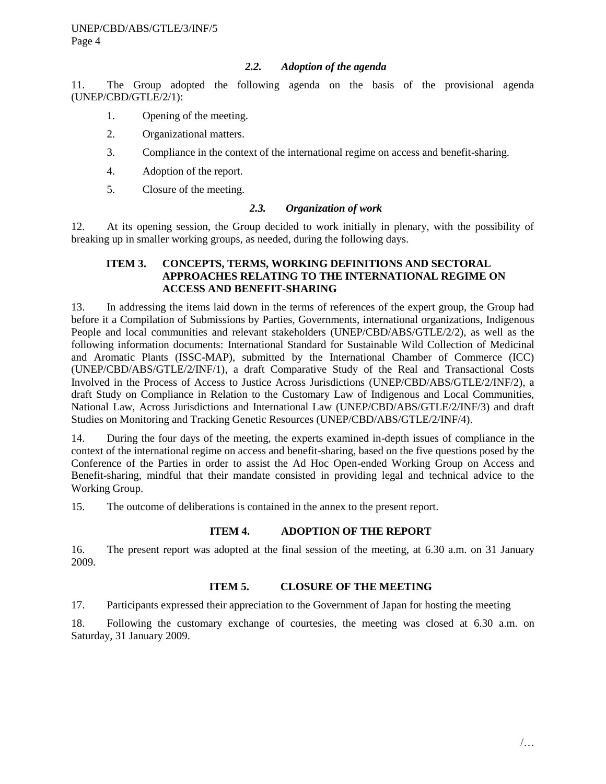## *2.2. Adoption of the agenda*

11. The Group adopted the following agenda on the basis of the provisional agenda (UNEP/CBD/GTLE/2/1):

- 1. Opening of the meeting.
- 2. Organizational matters.
- 3. Compliance in the context of the international regime on access and benefit-sharing.
- 4. Adoption of the report.
- 5. Closure of the meeting.

### *2.3. Organization of work*

12. At its opening session, the Group decided to work initially in plenary, with the possibility of breaking up in smaller working groups, as needed, during the following days.

## **ITEM 3. CONCEPTS, TERMS, WORKING DEFINITIONS AND SECTORAL APPROACHES RELATING TO THE INTERNATIONAL REGIME ON ACCESS AND BENEFIT-SHARING**

13. In addressing the items laid down in the terms of references of the expert group, the Group had before it a Compilation of Submissions by Parties, Governments, international organizations, Indigenous People and local communities and relevant stakeholders (UNEP/CBD/ABS/GTLE/2/2), as well as the following information documents: International Standard for Sustainable Wild Collection of Medicinal and Aromatic Plants (ISSC-MAP), submitted by the International Chamber of Commerce (ICC) (UNEP/CBD/ABS/GTLE/2/INF/1), a draft Comparative Study of the Real and Transactional Costs Involved in the Process of Access to Justice Across Jurisdictions (UNEP/CBD/ABS/GTLE/2/INF/2), a draft Study on Compliance in Relation to the Customary Law of Indigenous and Local Communities, National Law, Across Jurisdictions and International Law (UNEP/CBD/ABS/GTLE/2/INF/3) and draft Studies on Monitoring and Tracking Genetic Resources (UNEP/CBD/ABS/GTLE/2/INF/4).

14. During the four days of the meeting, the experts examined in-depth issues of compliance in the context of the international regime on access and benefit-sharing, based on the five questions posed by the Conference of the Parties in order to assist the Ad Hoc Open-ended Working Group on Access and Benefit-sharing, mindful that their mandate consisted in providing legal and technical advice to the Working Group.

15. The outcome of deliberations is contained in the annex to the present report.

### **ITEM 4. ADOPTION OF THE REPORT**

16. The present report was adopted at the final session of the meeting, at 6.30 a.m. on 31 January 2009.

### **ITEM 5. CLOSURE OF THE MEETING**

17. Participants expressed their appreciation to the Government of Japan for hosting the meeting

18. Following the customary exchange of courtesies, the meeting was closed at 6.30 a.m. on Saturday, 31 January 2009.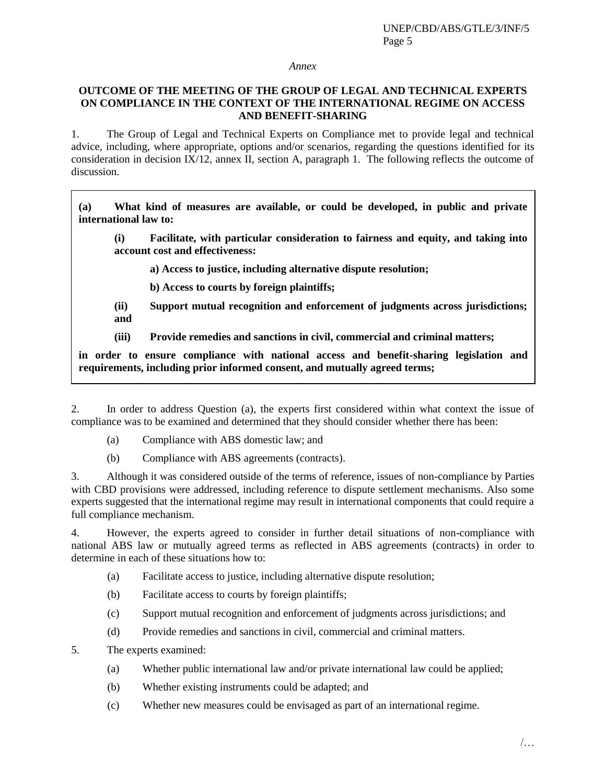#### *Annex*

### **OUTCOME OF THE MEETING OF THE GROUP OF LEGAL AND TECHNICAL EXPERTS ON COMPLIANCE IN THE CONTEXT OF THE INTERNATIONAL REGIME ON ACCESS AND BENEFIT-SHARING**

1. The Group of Legal and Technical Experts on Compliance met to provide legal and technical advice, including, where appropriate, options and/or scenarios, regarding the questions identified for its consideration in decision  $\overline{IX}/12$ , annex II, section A, paragraph 1. The following reflects the outcome of discussion.

**(a) What kind of measures are available, or could be developed, in public and private international law to:** 

**(i) Facilitate, with particular consideration to fairness and equity, and taking into account cost and effectiveness:** 

**a) Access to justice, including alternative dispute resolution;** 

**b) Access to courts by foreign plaintiffs;** 

- **(ii) Support mutual recognition and enforcement of judgments across jurisdictions; and**
- **(iii) Provide remedies and sanctions in civil, commercial and criminal matters;**

**in order to ensure compliance with national access and benefit-sharing legislation and requirements, including prior informed consent, and mutually agreed terms;** 

2. In order to address Question (a), the experts first considered within what context the issue of compliance was to be examined and determined that they should consider whether there has been:

- (a) Compliance with ABS domestic law; and
- (b) Compliance with ABS agreements (contracts).

3. Although it was considered outside of the terms of reference, issues of non-compliance by Parties with CBD provisions were addressed, including reference to dispute settlement mechanisms. Also some experts suggested that the international regime may result in international components that could require a full compliance mechanism.

4. However, the experts agreed to consider in further detail situations of non-compliance with national ABS law or mutually agreed terms as reflected in ABS agreements (contracts) in order to determine in each of these situations how to:

- (a) Facilitate access to justice, including alternative dispute resolution;
- (b) Facilitate access to courts by foreign plaintiffs;
- (c) Support mutual recognition and enforcement of judgments across jurisdictions; and
- (d) Provide remedies and sanctions in civil, commercial and criminal matters.
- 5. The experts examined:
	- (a) Whether public international law and/or private international law could be applied;
	- (b) Whether existing instruments could be adapted; and
	- (c) Whether new measures could be envisaged as part of an international regime.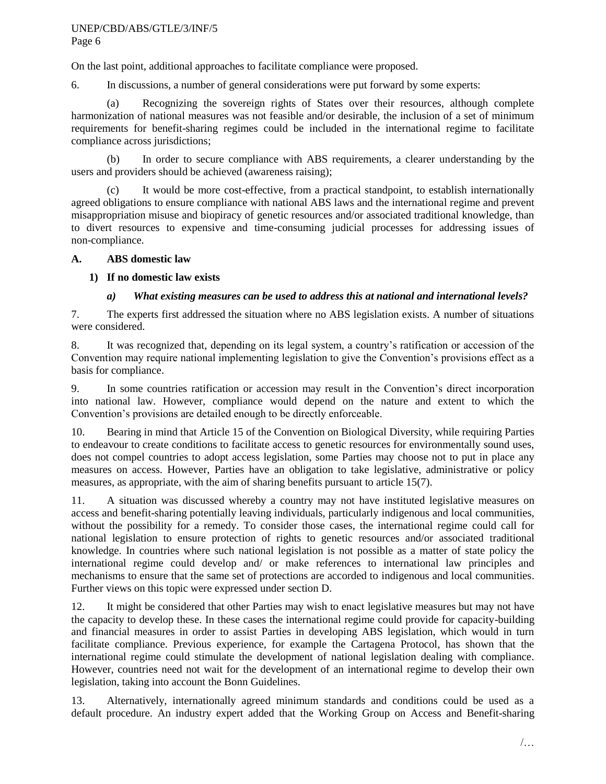### UNEP/CBD/ABS/GTLE/3/INF/5 Page 6

On the last point, additional approaches to facilitate compliance were proposed.

6. In discussions, a number of general considerations were put forward by some experts:

(a) Recognizing the sovereign rights of States over their resources, although complete harmonization of national measures was not feasible and/or desirable, the inclusion of a set of minimum requirements for benefit-sharing regimes could be included in the international regime to facilitate compliance across jurisdictions;

(b) In order to secure compliance with ABS requirements, a clearer understanding by the users and providers should be achieved (awareness raising);

(c) It would be more cost-effective, from a practical standpoint, to establish internationally agreed obligations to ensure compliance with national ABS laws and the international regime and prevent misappropriation misuse and biopiracy of genetic resources and/or associated traditional knowledge, than to divert resources to expensive and time-consuming judicial processes for addressing issues of non-compliance.

## **A. ABS domestic law**

# **1) If no domestic law exists**

# *a) What existing measures can be used to address this at national and international levels?*

7. The experts first addressed the situation where no ABS legislation exists. A number of situations were considered.

8. It was recognized that, depending on its legal system, a country"s ratification or accession of the Convention may require national implementing legislation to give the Convention"s provisions effect as a basis for compliance.

9. In some countries ratification or accession may result in the Convention"s direct incorporation into national law. However, compliance would depend on the nature and extent to which the Convention"s provisions are detailed enough to be directly enforceable.

10. Bearing in mind that Article 15 of the Convention on Biological Diversity, while requiring Parties to endeavour to create conditions to facilitate access to genetic resources for environmentally sound uses, does not compel countries to adopt access legislation, some Parties may choose not to put in place any measures on access. However, Parties have an obligation to take legislative, administrative or policy measures, as appropriate, with the aim of sharing benefits pursuant to article 15(7).

11. A situation was discussed whereby a country may not have instituted legislative measures on access and benefit-sharing potentially leaving individuals, particularly indigenous and local communities, without the possibility for a remedy. To consider those cases, the international regime could call for national legislation to ensure protection of rights to genetic resources and/or associated traditional knowledge. In countries where such national legislation is not possible as a matter of state policy the international regime could develop and/ or make references to international law principles and mechanisms to ensure that the same set of protections are accorded to indigenous and local communities. Further views on this topic were expressed under section D.

12. It might be considered that other Parties may wish to enact legislative measures but may not have the capacity to develop these. In these cases the international regime could provide for capacity-building and financial measures in order to assist Parties in developing ABS legislation, which would in turn facilitate compliance. Previous experience, for example the Cartagena Protocol, has shown that the international regime could stimulate the development of national legislation dealing with compliance. However, countries need not wait for the development of an international regime to develop their own legislation, taking into account the Bonn Guidelines.

13. Alternatively, internationally agreed minimum standards and conditions could be used as a default procedure. An industry expert added that the Working Group on Access and Benefit-sharing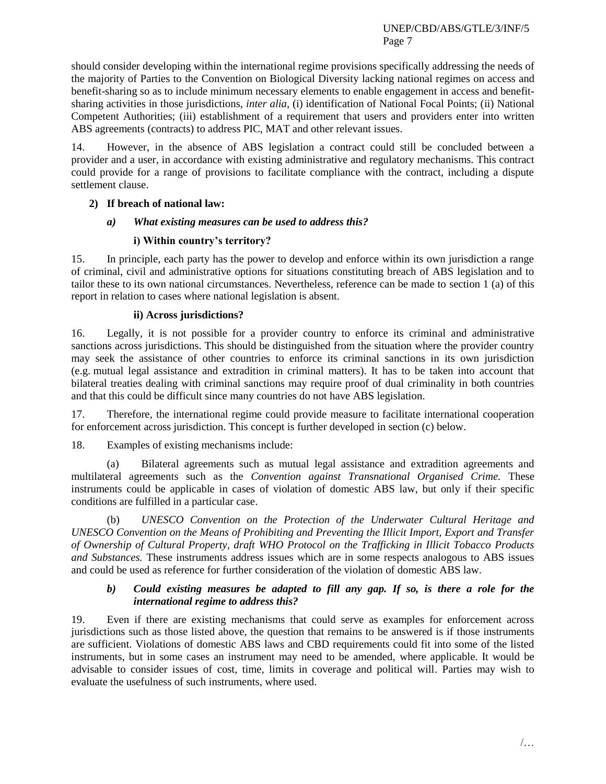should consider developing within the international regime provisions specifically addressing the needs of the majority of Parties to the Convention on Biological Diversity lacking national regimes on access and benefit-sharing so as to include minimum necessary elements to enable engagement in access and benefitsharing activities in those jurisdictions, *inter alia*, (i) identification of National Focal Points; (ii) National Competent Authorities; (iii) establishment of a requirement that users and providers enter into written ABS agreements (contracts) to address PIC, MAT and other relevant issues.

14. However, in the absence of ABS legislation a contract could still be concluded between a provider and a user, in accordance with existing administrative and regulatory mechanisms. This contract could provide for a range of provisions to facilitate compliance with the contract, including a dispute settlement clause.

# **2) If breach of national law:**

# *a) What existing measures can be used to address this?*

# **i) Within country's territory?**

15. In principle, each party has the power to develop and enforce within its own jurisdiction a range of criminal, civil and administrative options for situations constituting breach of ABS legislation and to tailor these to its own national circumstances. Nevertheless, reference can be made to section 1 (a) of this report in relation to cases where national legislation is absent.

# **ii) Across jurisdictions?**

16. Legally, it is not possible for a provider country to enforce its criminal and administrative sanctions across jurisdictions. This should be distinguished from the situation where the provider country may seek the assistance of other countries to enforce its criminal sanctions in its own jurisdiction (e.g. mutual legal assistance and extradition in criminal matters). It has to be taken into account that bilateral treaties dealing with criminal sanctions may require proof of dual criminality in both countries and that this could be difficult since many countries do not have ABS legislation.

17. Therefore, the international regime could provide measure to facilitate international cooperation for enforcement across jurisdiction. This concept is further developed in section (c) below.

18. Examples of existing mechanisms include:

(a) Bilateral agreements such as mutual legal assistance and extradition agreements and multilateral agreements such as the *Convention against Transnational Organised Crime.* These instruments could be applicable in cases of violation of domestic ABS law, but only if their specific conditions are fulfilled in a particular case.

(b) *UNESCO Convention on the Protection of the Underwater Cultural Heritage and UNESCO Convention on the Means of Prohibiting and Preventing the Illicit Import, Export and Transfer of Ownership of Cultural Property, draft WHO Protocol on the Trafficking in Illicit Tobacco Products and Substances.* These instruments address issues which are in some respects analogous to ABS issues and could be used as reference for further consideration of the violation of domestic ABS law.

### *b) Could existing measures be adapted to fill any gap. If so, is there a role for the international regime to address this?*

19. Even if there are existing mechanisms that could serve as examples for enforcement across jurisdictions such as those listed above, the question that remains to be answered is if those instruments are sufficient. Violations of domestic ABS laws and CBD requirements could fit into some of the listed instruments, but in some cases an instrument may need to be amended, where applicable. It would be advisable to consider issues of cost, time, limits in coverage and political will. Parties may wish to evaluate the usefulness of such instruments, where used.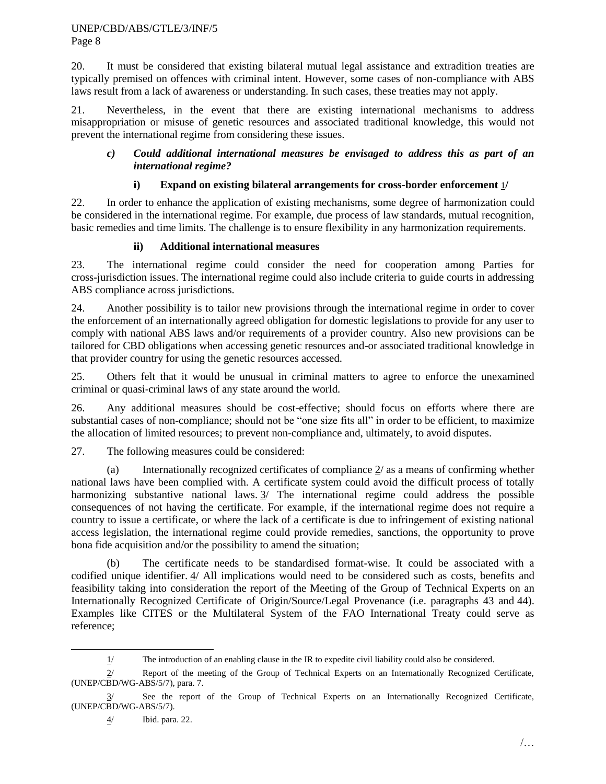20. It must be considered that existing bilateral mutual legal assistance and extradition treaties are typically premised on offences with criminal intent. However, some cases of non-compliance with ABS laws result from a lack of awareness or understanding. In such cases, these treaties may not apply.

21. Nevertheless, in the event that there are existing international mechanisms to address misappropriation or misuse of genetic resources and associated traditional knowledge, this would not prevent the international regime from considering these issues.

## *c) Could additional international measures be envisaged to address this as part of an international regime?*

# **i) Expand on existing bilateral arrangements for cross-border enforcement** 1**/**

22. In order to enhance the application of existing mechanisms, some degree of harmonization could be considered in the international regime. For example, due process of law standards, mutual recognition, basic remedies and time limits. The challenge is to ensure flexibility in any harmonization requirements.

# **ii) Additional international measures**

23. The international regime could consider the need for cooperation among Parties for cross-jurisdiction issues. The international regime could also include criteria to guide courts in addressing ABS compliance across jurisdictions.

24. Another possibility is to tailor new provisions through the international regime in order to cover the enforcement of an internationally agreed obligation for domestic legislations to provide for any user to comply with national ABS laws and/or requirements of a provider country. Also new provisions can be tailored for CBD obligations when accessing genetic resources and-or associated traditional knowledge in that provider country for using the genetic resources accessed.

25. Others felt that it would be unusual in criminal matters to agree to enforce the unexamined criminal or quasi-criminal laws of any state around the world.

26. Any additional measures should be cost-effective; should focus on efforts where there are substantial cases of non-compliance; should not be "one size fits all" in order to be efficient, to maximize the allocation of limited resources; to prevent non-compliance and, ultimately, to avoid disputes.

27. The following measures could be considered:

(a) Internationally recognized certificates of compliance 2/ as a means of confirming whether national laws have been complied with. A certificate system could avoid the difficult process of totally harmonizing substantive national laws.  $\frac{3}{\ }$  The international regime could address the possible consequences of not having the certificate. For example, if the international regime does not require a country to issue a certificate, or where the lack of a certificate is due to infringement of existing national access legislation, the international regime could provide remedies, sanctions, the opportunity to prove bona fide acquisition and/or the possibility to amend the situation;

(b) The certificate needs to be standardised format-wise. It could be associated with a codified unique identifier. 4/ All implications would need to be considered such as costs, benefits and feasibility taking into consideration the report of the Meeting of the Group of Technical Experts on an Internationally Recognized Certificate of Origin/Source/Legal Provenance (i.e. paragraphs 43 and 44). Examples like CITES or the Multilateral System of the FAO International Treaty could serve as reference;

l

 $1/$  The introduction of an enabling clause in the IR to expedite civil liability could also be considered.

<sup>2/</sup> Report of the meeting of the Group of Technical Experts on an Internationally Recognized Certificate, (UNEP/CBD/WG-ABS/5/7), para. 7.

<sup>3/</sup> See the report of the Group of Technical Experts on an Internationally Recognized Certificate, (UNEP/CBD/WG-ABS/5/7).

<sup>4/</sup> Ibid. para. 22.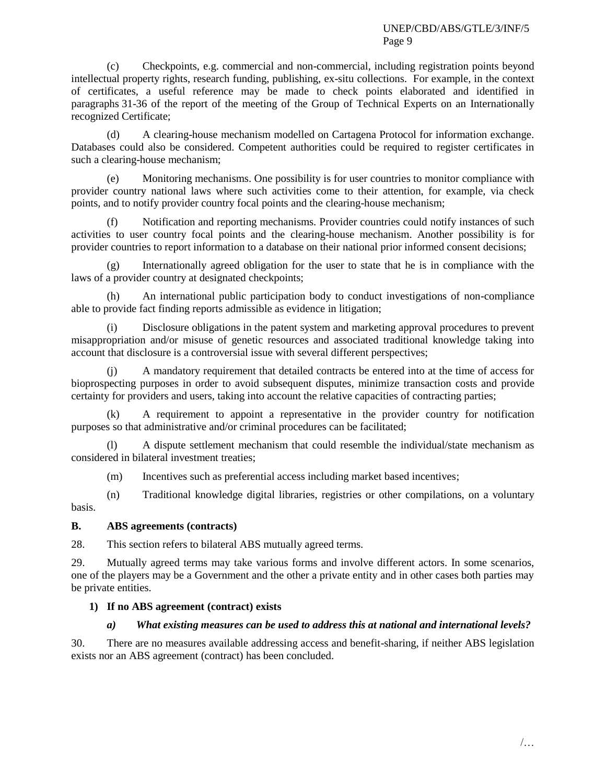(c) Checkpoints, e.g. commercial and non-commercial, including registration points beyond intellectual property rights, research funding, publishing, ex-situ collections. For example, in the context of certificates, a useful reference may be made to check points elaborated and identified in paragraphs 31-36 of the report of the meeting of the Group of Technical Experts on an Internationally recognized Certificate;

(d) A clearing-house mechanism modelled on Cartagena Protocol for information exchange. Databases could also be considered. Competent authorities could be required to register certificates in such a clearing-house mechanism;

(e) Monitoring mechanisms. One possibility is for user countries to monitor compliance with provider country national laws where such activities come to their attention, for example, via check points, and to notify provider country focal points and the clearing-house mechanism;

Notification and reporting mechanisms. Provider countries could notify instances of such activities to user country focal points and the clearing-house mechanism. Another possibility is for provider countries to report information to a database on their national prior informed consent decisions;

(g) Internationally agreed obligation for the user to state that he is in compliance with the laws of a provider country at designated checkpoints;

(h) An international public participation body to conduct investigations of non-compliance able to provide fact finding reports admissible as evidence in litigation;

(i) Disclosure obligations in the patent system and marketing approval procedures to prevent misappropriation and/or misuse of genetic resources and associated traditional knowledge taking into account that disclosure is a controversial issue with several different perspectives;

A mandatory requirement that detailed contracts be entered into at the time of access for bioprospecting purposes in order to avoid subsequent disputes, minimize transaction costs and provide certainty for providers and users, taking into account the relative capacities of contracting parties;

(k) A requirement to appoint a representative in the provider country for notification purposes so that administrative and/or criminal procedures can be facilitated;

(l) A dispute settlement mechanism that could resemble the individual/state mechanism as considered in bilateral investment treaties;

(m) Incentives such as preferential access including market based incentives;

(n) Traditional knowledge digital libraries, registries or other compilations, on a voluntary basis.

### **B. ABS agreements (contracts)**

28. This section refers to bilateral ABS mutually agreed terms.

29. Mutually agreed terms may take various forms and involve different actors. In some scenarios, one of the players may be a Government and the other a private entity and in other cases both parties may be private entities.

### **1) If no ABS agreement (contract) exists**

# *a) What existing measures can be used to address this at national and international levels?*

30. There are no measures available addressing access and benefit-sharing, if neither ABS legislation exists nor an ABS agreement (contract) has been concluded.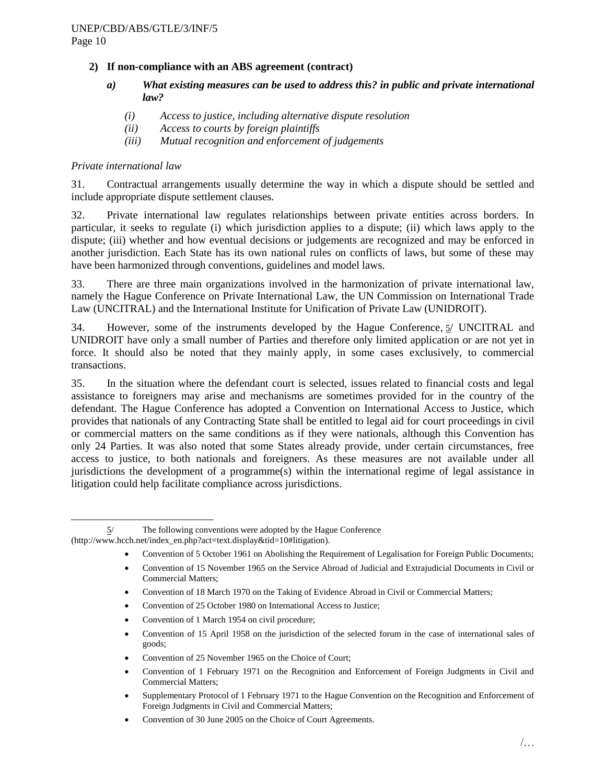## **2) If non-compliance with an ABS agreement (contract)**

- *a) What existing measures can be used to address this? in public and private international law?*
	- *(i) Access to justice, including alternative dispute resolution*
	- *(ii) Access to courts by foreign plaintiffs*
	- *(iii) Mutual recognition and enforcement of judgements*

### *Private international law*

31. Contractual arrangements usually determine the way in which a dispute should be settled and include appropriate dispute settlement clauses.

32. Private international law regulates relationships between private entities across borders. In particular, it seeks to regulate (i) which jurisdiction applies to a dispute; (ii) which laws apply to the dispute; (iii) whether and how eventual decisions or judgements are recognized and may be enforced in another jurisdiction. Each State has its own national rules on conflicts of laws, but some of these may have been harmonized through conventions, guidelines and model laws.

33. There are three main organizations involved in the harmonization of private international law, namely the Hague Conference on Private International Law, the UN Commission on International Trade Law (UNCITRAL) and the International Institute for Unification of Private Law (UNIDROIT).

34. However, some of the instruments developed by the Hague Conference, 5/ UNCITRAL and UNIDROIT have only a small number of Parties and therefore only limited application or are not yet in force. It should also be noted that they mainly apply, in some cases exclusively, to commercial transactions.

<span id="page-9-0"></span>35. In the situation where the defendant court is selected, issues related to financial costs and legal assistance to foreigners may arise and mechanisms are sometimes provided for in the country of the defendant. The Hague Conference has adopted a Convention on International Access to Justice, which provides that nationals of any Contracting State shall be entitled to legal aid for court proceedings in civil or commercial matters on the same conditions as if they were nationals, although this Convention has only 24 Parties. It was also noted that some States already provide, under certain circumstances, free access to justice, to both nationals and foreigners. As these measures are not available under all jurisdictions the development of a programme(s) within the international regime of legal assistance in litigation could help facilitate compliance across jurisdictions.

- Convention of 5 October 1961 on Abolishing the Requirement of Legalisation for Foreign Public Documents;
- Convention of 15 November 1965 on the Service Abroad of Judicial and Extrajudicial Documents in Civil or Commercial Matters;
- Convention of 18 March 1970 on the Taking of Evidence Abroad in Civil or Commercial Matters;
- Convention of 25 October 1980 on International Access to Justice;
- Convention of 1 March 1954 on civil procedure;
- Convention of 15 April 1958 on the jurisdiction of the selected forum in the case of international sales of goods;
- Convention of 25 November 1965 on the Choice of Court;
- Convention of 1 February 1971 on the Recognition and Enforcement of Foreign Judgments in Civil and Commercial Matters;
- Supplementary Protocol of 1 February 1971 to the Hague Convention on the Recognition and Enforcement of Foreign Judgments in Civil and Commercial Matters;
- Convention of 30 June 2005 on the Choice of Court Agreements.

l 5/ The following conventions were adopted by the Hague Conference (http://www.hcch.net/index\_en.php?act=text.display&tid=10#litigation).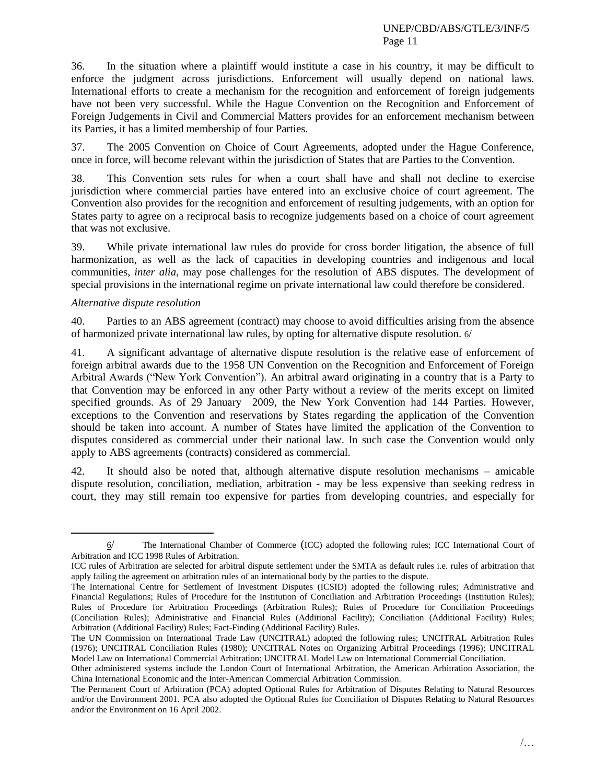#### UNEP/CBD/ABS/GTLE/3/INF/5 Page 11

36. In the situation where a plaintiff would institute a case in his country, it may be difficult to enforce the judgment across jurisdictions. Enforcement will usually depend on national laws. International efforts to create a mechanism for the recognition and enforcement of foreign judgements have not been very successful. While the Hague Convention on the Recognition and Enforcement of Foreign Judgements in Civil and Commercial Matters provides for an enforcement mechanism between its Parties, it has a limited membership of four Parties.

37. The 2005 Convention on Choice of Court Agreements, adopted under the Hague Conference, once in force, will become relevant within the jurisdiction of States that are Parties to the Convention.

38. This Convention sets rules for when a court shall have and shall not decline to exercise jurisdiction where commercial parties have entered into an exclusive choice of court agreement. The Convention also provides for the recognition and enforcement of resulting judgements, with an option for States party to agree on a reciprocal basis to recognize judgements based on a choice of court agreement that was not exclusive.

<span id="page-10-0"></span>39. While private international law rules do provide for cross border litigation, the absence of full harmonization, as well as the lack of capacities in developing countries and indigenous and local communities, *inter alia*, may pose challenges for the resolution of ABS disputes. The development of special provisions in the international regime on private international law could therefore be considered.

### *Alternative dispute resolution*

l

40. Parties to an ABS agreement (contract) may choose to avoid difficulties arising from the absence of harmonized private international law rules, by opting for alternative dispute resolution. 6/

41. A significant advantage of alternative dispute resolution is the relative ease of enforcement of foreign arbitral awards due to the 1958 UN Convention on the Recognition and Enforcement of Foreign Arbitral Awards ("New York Convention"). An arbitral award originating in a country that is a Party to that Convention may be enforced in any other Party without a review of the merits except on limited specified grounds. As of 29 January 2009, the New York Convention had 144 Parties. However, exceptions to the Convention and reservations by States regarding the application of the Convention should be taken into account. A number of States have limited the application of the Convention to disputes considered as commercial under their national law. In such case the Convention would only apply to ABS agreements (contracts) considered as commercial.

42. It should also be noted that, although alternative dispute resolution mechanisms – amicable dispute resolution, conciliation, mediation, arbitration - may be less expensive than seeking redress in court, they may still remain too expensive for parties from developing countries, and especially for

<sup>6</sup>/ The International Chamber of Commerce (ICC) adopted the following rules; ICC International Court of Arbitration and ICC 1998 Rules of Arbitration.

ICC rules of Arbitration are selected for arbitral dispute settlement under the SMTA as default rules i.e. rules of arbitration that apply failing the agreement on arbitration rules of an international body by the parties to the dispute.

The International Centre for Settlement of Investment Disputes (ICSID) adopted the following rules; Administrative and Financial Regulations; Rules of Procedure for the Institution of Conciliation and Arbitration Proceedings (Institution Rules); Rules of Procedure for Arbitration Proceedings (Arbitration Rules); Rules of Procedure for Conciliation Proceedings (Conciliation Rules); Administrative and Financial Rules (Additional Facility); Conciliation (Additional Facility) Rules; Arbitration (Additional Facility) Rules; Fact-Finding (Additional Facility) Rules.

The UN Commission on International Trade Law (UNCITRAL) adopted the following rules; UNCITRAL Arbitration Rules (1976); UNCITRAL Conciliation Rules (1980); UNCITRAL Notes on Organizing Arbitral Proceedings (1996); UNCITRAL Model Law on International Commercial Arbitration; UNCITRAL Model Law on International Commercial Conciliation.

Other administered systems include the London Court of International Arbitration, the American Arbitration Association, the China International Economic and the Inter-American Commercial Arbitration Commission.

The Permanent Court of Arbitration (PCA) adopted Optional Rules for Arbitration of Disputes Relating to Natural Resources and/or the Environment 2001. PCA also adopted the Optional Rules for Conciliation of Disputes Relating to Natural Resources and/or the Environment on 16 April 2002.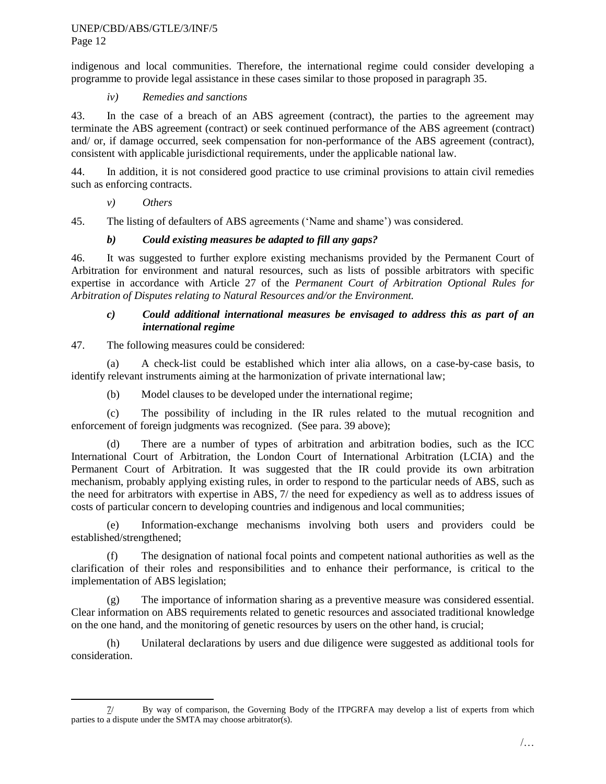indigenous and local communities. Therefore, the international regime could consider developing a programme to provide legal assistance in these cases similar to those proposed in paragraph [35.](#page-9-0)

## *iv) Remedies and sanctions*

43. In the case of a breach of an ABS agreement (contract), the parties to the agreement may terminate the ABS agreement (contract) or seek continued performance of the ABS agreement (contract) and/ or, if damage occurred, seek compensation for non-performance of the ABS agreement (contract), consistent with applicable jurisdictional requirements, under the applicable national law.

44. In addition, it is not considered good practice to use criminal provisions to attain civil remedies such as enforcing contracts.

# *v) Others*

45. The listing of defaulters of ABS agreements ("Name and shame") was considered.

# *b) Could existing measures be adapted to fill any gaps?*

46. It was suggested to further explore existing mechanisms provided by the Permanent Court of Arbitration for environment and natural resources, such as lists of possible arbitrators with specific expertise in accordance with Article 27 of the *Permanent Court of Arbitration Optional Rules for Arbitration of Disputes relating to Natural Resources and/or the Environment.*

### *c) Could additional international measures be envisaged to address this as part of an international regime*

## 47. The following measures could be considered:

(a) A check-list could be established which inter alia allows, on a case-by-case basis, to identify relevant instruments aiming at the harmonization of private international law;

(b) Model clauses to be developed under the international regime;

(c) The possibility of including in the IR rules related to the mutual recognition and enforcement of foreign judgments was recognized. (See para. [39](#page-10-0) above);

(d) There are a number of types of arbitration and arbitration bodies, such as the ICC International Court of Arbitration, the London Court of International Arbitration (LCIA) and the Permanent Court of Arbitration. It was suggested that the IR could provide its own arbitration mechanism, probably applying existing rules, in order to respond to the particular needs of ABS, such as the need for arbitrators with expertise in ABS, 7/ the need for expediency as well as to address issues of costs of particular concern to developing countries and indigenous and local communities;

(e) Information-exchange mechanisms involving both users and providers could be established/strengthened;

(f) The designation of national focal points and competent national authorities as well as the clarification of their roles and responsibilities and to enhance their performance, is critical to the implementation of ABS legislation;

(g) The importance of information sharing as a preventive measure was considered essential. Clear information on ABS requirements related to genetic resources and associated traditional knowledge on the one hand, and the monitoring of genetic resources by users on the other hand, is crucial;

(h) Unilateral declarations by users and due diligence were suggested as additional tools for consideration.

l 7/ By way of comparison, the Governing Body of the ITPGRFA may develop a list of experts from which parties to a dispute under the SMTA may choose arbitrator(s).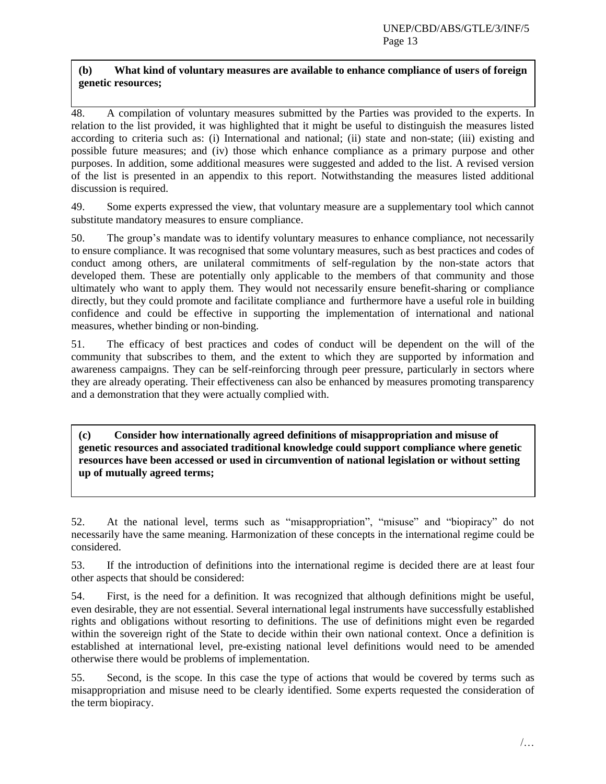# **(b) What kind of voluntary measures are available to enhance compliance of users of foreign genetic resources;**

48. A compilation of voluntary measures submitted by the Parties was provided to the experts. In relation to the list provided, it was highlighted that it might be useful to distinguish the measures listed according to criteria such as: (i) International and national; (ii) state and non-state; (iii) existing and possible future measures; and (iv) those which enhance compliance as a primary purpose and other purposes. In addition, some additional measures were suggested and added to the list. A revised version of the list is presented in an appendix to this report. Notwithstanding the measures listed additional discussion is required.

49. Some experts expressed the view, that voluntary measure are a supplementary tool which cannot substitute mandatory measures to ensure compliance.

50. The group"s mandate was to identify voluntary measures to enhance compliance, not necessarily to ensure compliance. It was recognised that some voluntary measures, such as best practices and codes of conduct among others, are unilateral commitments of self-regulation by the non-state actors that developed them. These are potentially only applicable to the members of that community and those ultimately who want to apply them. They would not necessarily ensure benefit-sharing or compliance directly, but they could promote and facilitate compliance and furthermore have a useful role in building confidence and could be effective in supporting the implementation of international and national measures, whether binding or non-binding.

51. The efficacy of best practices and codes of conduct will be dependent on the will of the community that subscribes to them, and the extent to which they are supported by information and awareness campaigns. They can be self-reinforcing through peer pressure, particularly in sectors where they are already operating. Their effectiveness can also be enhanced by measures promoting transparency and a demonstration that they were actually complied with.

**(c) Consider how internationally agreed definitions of misappropriation and misuse of genetic resources and associated traditional knowledge could support compliance where genetic resources have been accessed or used in circumvention of national legislation or without setting up of mutually agreed terms;** 

52. At the national level, terms such as "misappropriation", "misuse" and "biopiracy" do not necessarily have the same meaning. Harmonization of these concepts in the international regime could be considered.

53. If the introduction of definitions into the international regime is decided there are at least four other aspects that should be considered:

54. First, is the need for a definition. It was recognized that although definitions might be useful, even desirable, they are not essential. Several international legal instruments have successfully established rights and obligations without resorting to definitions. The use of definitions might even be regarded within the sovereign right of the State to decide within their own national context. Once a definition is established at international level, pre-existing national level definitions would need to be amended otherwise there would be problems of implementation.

55. Second, is the scope. In this case the type of actions that would be covered by terms such as misappropriation and misuse need to be clearly identified. Some experts requested the consideration of the term biopiracy.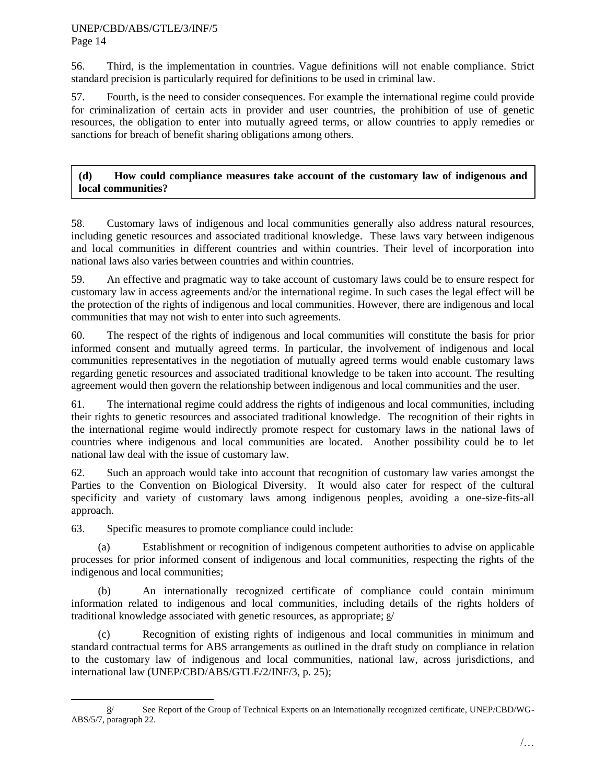#### UNEP/CBD/ABS/GTLE/3/INF/5 Page 14

56. Third, is the implementation in countries. Vague definitions will not enable compliance. Strict standard precision is particularly required for definitions to be used in criminal law.

57. Fourth, is the need to consider consequences. For example the international regime could provide for criminalization of certain acts in provider and user countries, the prohibition of use of genetic resources, the obligation to enter into mutually agreed terms, or allow countries to apply remedies or sanctions for breach of benefit sharing obligations among others.

## **(d) How could compliance measures take account of the customary law of indigenous and local communities?**

58. Customary laws of indigenous and local communities generally also address natural resources, including genetic resources and associated traditional knowledge. These laws vary between indigenous and local communities in different countries and within countries. Their level of incorporation into national laws also varies between countries and within countries.

59. An effective and pragmatic way to take account of customary laws could be to ensure respect for customary law in access agreements and/or the international regime. In such cases the legal effect will be the protection of the rights of indigenous and local communities. However, there are indigenous and local communities that may not wish to enter into such agreements.

60. The respect of the rights of indigenous and local communities will constitute the basis for prior informed consent and mutually agreed terms. In particular, the involvement of indigenous and local communities representatives in the negotiation of mutually agreed terms would enable customary laws regarding genetic resources and associated traditional knowledge to be taken into account. The resulting agreement would then govern the relationship between indigenous and local communities and the user.

61. The international regime could address the rights of indigenous and local communities, including their rights to genetic resources and associated traditional knowledge. The recognition of their rights in the international regime would indirectly promote respect for customary laws in the national laws of countries where indigenous and local communities are located. Another possibility could be to let national law deal with the issue of customary law.

62. Such an approach would take into account that recognition of customary law varies amongst the Parties to the Convention on Biological Diversity. It would also cater for respect of the cultural specificity and variety of customary laws among indigenous peoples, avoiding a one-size-fits-all approach.

63. Specific measures to promote compliance could include:

(a) Establishment or recognition of indigenous competent authorities to advise on applicable processes for prior informed consent of indigenous and local communities, respecting the rights of the indigenous and local communities;

(b) An internationally recognized certificate of compliance could contain minimum information related to indigenous and local communities, including details of the rights holders of traditional knowledge associated with genetic resources, as appropriate; 8/

(c) Recognition of existing rights of indigenous and local communities in minimum and standard contractual terms for ABS arrangements as outlined in the draft study on compliance in relation to the customary law of indigenous and local communities, national law, across jurisdictions, and international law (UNEP/CBD/ABS/GTLE/2/INF/3, p. 25);

l 8/ See Report of the Group of Technical Experts on an Internationally recognized certificate, UNEP/CBD/WG-ABS/5/7, paragraph 22.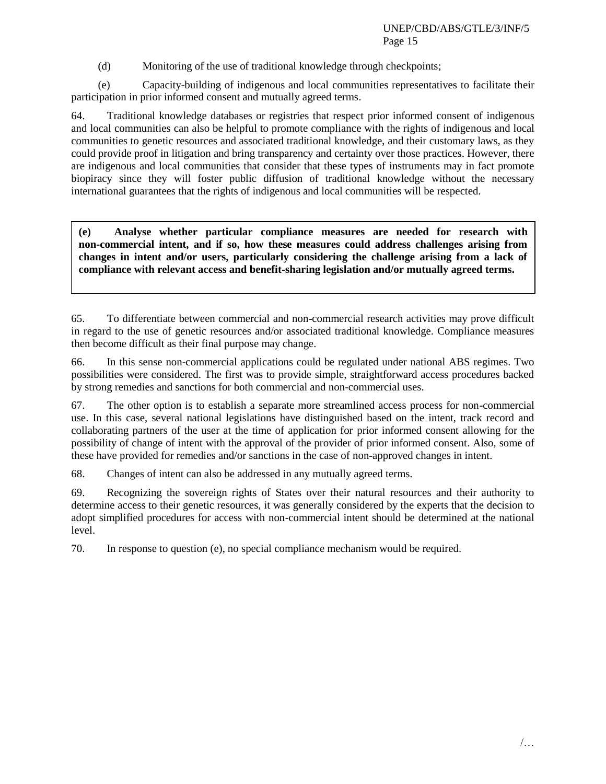(d) Monitoring of the use of traditional knowledge through checkpoints;

(e) Capacity-building of indigenous and local communities representatives to facilitate their participation in prior informed consent and mutually agreed terms.

64. Traditional knowledge databases or registries that respect prior informed consent of indigenous and local communities can also be helpful to promote compliance with the rights of indigenous and local communities to genetic resources and associated traditional knowledge, and their customary laws, as they could provide proof in litigation and bring transparency and certainty over those practices. However, there are indigenous and local communities that consider that these types of instruments may in fact promote biopiracy since they will foster public diffusion of traditional knowledge without the necessary international guarantees that the rights of indigenous and local communities will be respected.

**(e) Analyse whether particular compliance measures are needed for research with non-commercial intent, and if so, how these measures could address challenges arising from changes in intent and/or users, particularly considering the challenge arising from a lack of compliance with relevant access and benefit-sharing legislation and/or mutually agreed terms.**

65. To differentiate between commercial and non-commercial research activities may prove difficult in regard to the use of genetic resources and/or associated traditional knowledge. Compliance measures then become difficult as their final purpose may change.

66. In this sense non-commercial applications could be regulated under national ABS regimes. Two possibilities were considered. The first was to provide simple, straightforward access procedures backed by strong remedies and sanctions for both commercial and non-commercial uses.

67. The other option is to establish a separate more streamlined access process for non-commercial use. In this case, several national legislations have distinguished based on the intent, track record and collaborating partners of the user at the time of application for prior informed consent allowing for the possibility of change of intent with the approval of the provider of prior informed consent. Also, some of these have provided for remedies and/or sanctions in the case of non-approved changes in intent.

68. Changes of intent can also be addressed in any mutually agreed terms.

69. Recognizing the sovereign rights of States over their natural resources and their authority to determine access to their genetic resources, it was generally considered by the experts that the decision to adopt simplified procedures for access with non-commercial intent should be determined at the national level.

70. In response to question (e), no special compliance mechanism would be required.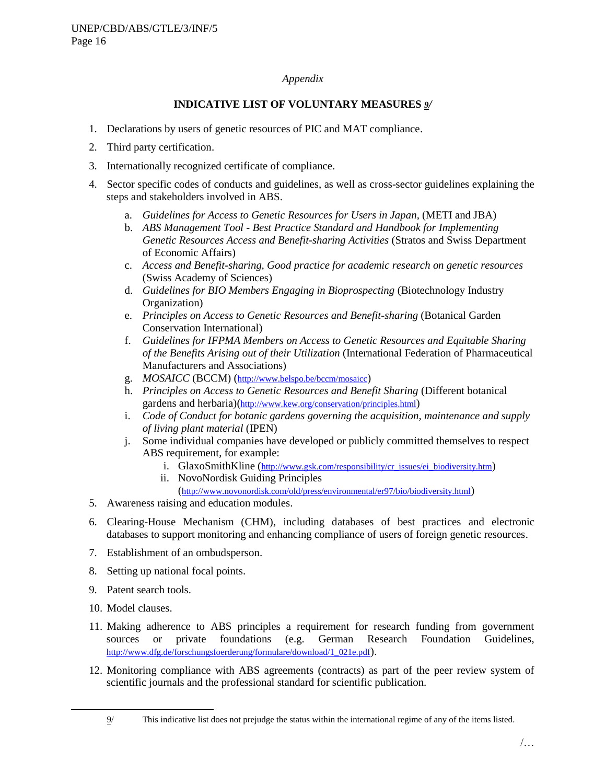### *Appendix*

## **INDICATIVE LIST OF VOLUNTARY MEASURES** *9/*

- 1. Declarations by users of genetic resources of PIC and MAT compliance.
- 2. Third party certification.
- 3. Internationally recognized certificate of compliance.
- 4. Sector specific codes of conducts and guidelines, as well as cross-sector guidelines explaining the steps and stakeholders involved in ABS.
	- a. *Guidelines for Access to Genetic Resources for Users in Japan,* (METI and JBA)
	- b. *ABS Management Tool - Best Practice Standard and Handbook for Implementing Genetic Resources Access and Benefit-sharing Activities* (Stratos and Swiss Department of Economic Affairs)
	- c. *Access and Benefit-sharing, Good practice for academic research on genetic resources*  (Swiss Academy of Sciences)
	- d. *Guidelines for BIO Members Engaging in Bioprospecting* (Biotechnology Industry Organization)
	- e. *Principles on Access to Genetic Resources and Benefit-sharing* (Botanical Garden Conservation International)
	- f. *Guidelines for IFPMA Members on Access to Genetic Resources and Equitable Sharing of the Benefits Arising out of their Utilization* (International Federation of Pharmaceutical Manufacturers and Associations)
	- g. *MOSAICC* (BCCM) (<http://www.belspo.be/bccm/mosaicc>)
	- h. *Principles on Access to Genetic Resources and Benefit Sharing* (Different botanical gardens and herbaria)(<http://www.kew.org/conservation/principles.html>)
	- i. *Code of Conduct for botanic gardens governing the acquisition, maintenance and supply of living plant material* (IPEN)
	- j. Some individual companies have developed or publicly committed themselves to respect ABS requirement, for example:
		- i. GlaxoSmithKline ([http://www.gsk.com/responsibility/cr\\_issues/ei\\_biodiversity.htm](http://www.gsk.com/responsibility/cr_issues/ei_biodiversity.htm))
		- ii. NovoNordisk Guiding Principles
			- (<http://www.novonordisk.com/old/press/environmental/er97/bio/biodiversity.html>)
- 5. Awareness raising and education modules.
- 6. Clearing-House Mechanism (CHM), including databases of best practices and electronic databases to support monitoring and enhancing compliance of users of foreign genetic resources.
- 7. Establishment of an ombudsperson.
- 8. Setting up national focal points.
- 9. Patent search tools.
- 10. Model clauses.

 $\overline{a}$ 

- 11. Making adherence to ABS principles a requirement for research funding from government sources or private foundations (e.g. German Research Foundation Guidelines, [http://www.dfg.de/forschungsfoerderung/formulare/download/1\\_021e.pdf](http://www.dfg.de/forschungsfoerderung/formulare/download/1_021e.pdf)).
- 12. Monitoring compliance with ABS agreements (contracts) as part of the peer review system of scientific journals and the professional standard for scientific publication.

<sup>9/</sup> This indicative list does not prejudge the status within the international regime of any of the items listed.